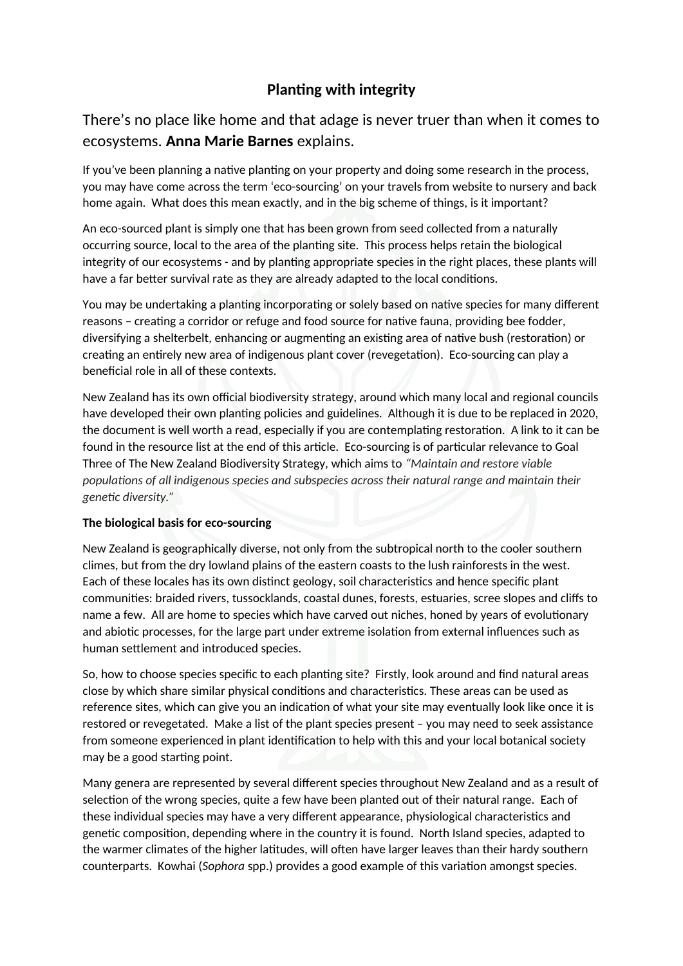# **Planting with integrity**

There's no place like home and that adage is never truer than when it comes to ecosystems. Anna Marie Barnes explains.

If you've been planning a native planting on your property and doing some research in the process, you may have come across the term 'eco-sourcing' on your travels from website to nursery and back home again. What does this mean exactly, and in the big scheme of things, is it important?

An eco-sourced plant is simply one that has been grown from seed collected from a naturally occurring source, local to the area of the plantng site. This process helps retain the biological integrity of our ecosystems - and by planting appropriate species in the right places, these plants will have a far better survival rate as they are already adapted to the local conditions.

You may be undertaking a planting incorporating or solely based on native species for many different reasons - creating a corridor or refuge and food source for native fauna, providing bee fodder, diversifying a shelterbelt, enhancing or augmenting an existing area of native bush (restoration) or creating an entirely new area of indigenous plant cover (revegetation). Eco-sourcing can play a beneficial role in all of these contexts.

New Zealand has its own official biodiversity strategy, around which many local and regional councils have developed their own planting policies and guidelines. Although it is due to be replaced in 2020, the document is well worth a read, especially if you are contemplatng restoraton. A link to it can be found in the resource list at the end of this article. Eco-sourcing is of particular relevance to Goal Three of The New Zealand Biodiversity Strategy, which aims to *"Maintain and restore viable populatons of all indigenous species and subspecies across their natural range and maintain their*  genetic diversity."

### **The biological basis for eco-sourcing**

New Zealand is geographically diverse, not only from the subtropical north to the cooler southern climes, but from the dry lowland plains of the eastern coasts to the lush rainforests in the west. Each of these locales has its own distnct geology, soil characteristcs and hence specifc plant communitess: braided rivers, tussocklands, coastal dunes, forests, estuaries, scree slopes and clifs to name a few. All are home to species which have carved out niches, honed by years of evolutonary and abiotic processes, for the large part under extreme isolation from external influences such as human setlement and introduced species.

So, how to choose species specific to each planting site? Firstly, look around and find natural areas close by which share similar physical conditions and characteristics. These areas can be used as reference sites, which can give you an indication of what your site may eventually look like once it is restored or revegetated. Make a list of the plant species present – you may need to seek assistance from someone experienced in plant identification to help with this and your local botanical society may be a good starting point.

Many genera are represented by several diferent species throughout New Zealand and as a result of selection of the wrong species, quite a few have been planted out of their natural range. Each of these individual species may have a very diferent appearance, physiological characteristcs and genetic composition, depending where in the country it is found. North Island species, adapted to the warmer climates of the higher latitudes, will often have larger leaves than their hardy southern counterparts. Kowhai (*Sophora* spp.) provides a good example of this variation amongst species.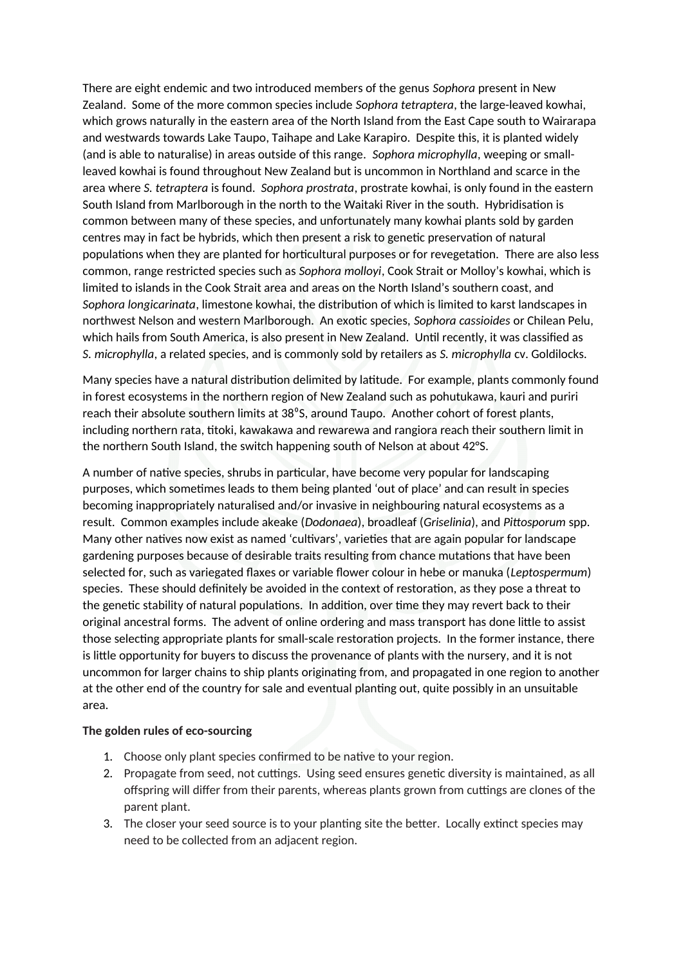There are eight endemic and two introduced members of the genus *Sophora* present in New Zealand. Some of the more common species include *Sophora tetraptera*, the large-leaved kowhai, which grows naturally in the eastern area of the North Island from the East Cape south to Wairarapa and westwards towards Lake Taupo, Taihape and Lake Karapiro. Despite this, it is planted widely (and is able to naturalise) in areas outside of this range. *Sophora microphylla*, weeping or smallleaved kowhai is found throughout New Zealand but is uncommon in Northland and scarce in the area where *S" tetraptera* is found. *Sophora prostrata*, prostrate kowhai, is only found in the eastern South Island from Marlborough in the north to the Waitaki River in the south. Hybridisaton is common between many of these species, and unfortunately many kowhai plants sold by garden centres may in fact be hybrids, which then present a risk to genetc preservaton of natural populations when they are planted for horticultural purposes or for revegetation. There are also less common, range restricted species such as *Sophora molloy.i*, Cook Strait or Molloy's kowhai, which is limited to islands in the Cook Strait area and areas on the North Island's southern coast, and *Sophora longicarinata*, limestone kowhai, the distributon of which is limited to karst landscapes in northwest Nelson and western Marlborough. An exotic species, *Sophora cassioides* or Chilean Pelu, which hails from South America, is also present in New Zealand. Until recently, it was classified as *S. microphylla*, a related species, and is commonly sold by retailers as *S. microphylla* cv. Goldilocks.

Many species have a natural distribution delimited by latitude. For example, plants commonly found in forest ecosystems in the northern region of New Zealand such as pohutukawa, kauri and puriri reach their absolute southern limits at 38°S, around Taupo. Another cohort of forest plants, including northern rata, ttoki, kawakawa and rewarewa and rangiora reach their southern limit in the northern South Island, the switch happening south of Nelson at about 42°S.

A number of natve species, shrubs in partcular, have become very popular for landscaping purposes, which sometmes leads to them being planted 'out of place' and can result in species becoming inappropriately naturalised and/or invasive in neighbouring natural ecosystems as a result. Common examples include akeake (*Dodonaea*n, broadleaf (*Griselinia*n, and *Pittosporum* spp. Many other natives now exist as named 'cultivars', varieties that are again popular for landscape gardening purposes because of desirable traits resulting from chance mutations that have been selected for, such as variegated flaxes or variable flower colour in hebe or manuka (Leptospermum) species. These should definitely be avoided in the context of restoration, as they pose a threat to the genetic stability of natural populations. In addition, over time they may revert back to their original ancestral forms. The advent of online ordering and mass transport has done litle to assist those selecting appropriate plants for small-scale restoration projects. In the former instance, there is litle opportunity for buyers to discuss the provenance of plants with the nursery, and it is not uncommon for larger chains to ship plants originatng from, and propagated in one region to another at the other end of the country for sale and eventual planting out, quite possibly in an unsuitable area.

#### The golden rules of eco-sourcing

- 1. Choose only plant species confirmed to be native to your region.
- 2. Propagate from seed, not cuttings. Using seed ensures genetic diversity is maintained, as all offspring will differ from their parents, whereas plants grown from cuttings are clones of the parent plant.
- 3. The closer your seed source is to your planting site the better. Locally extinct species may need to be collected from an adjacent region.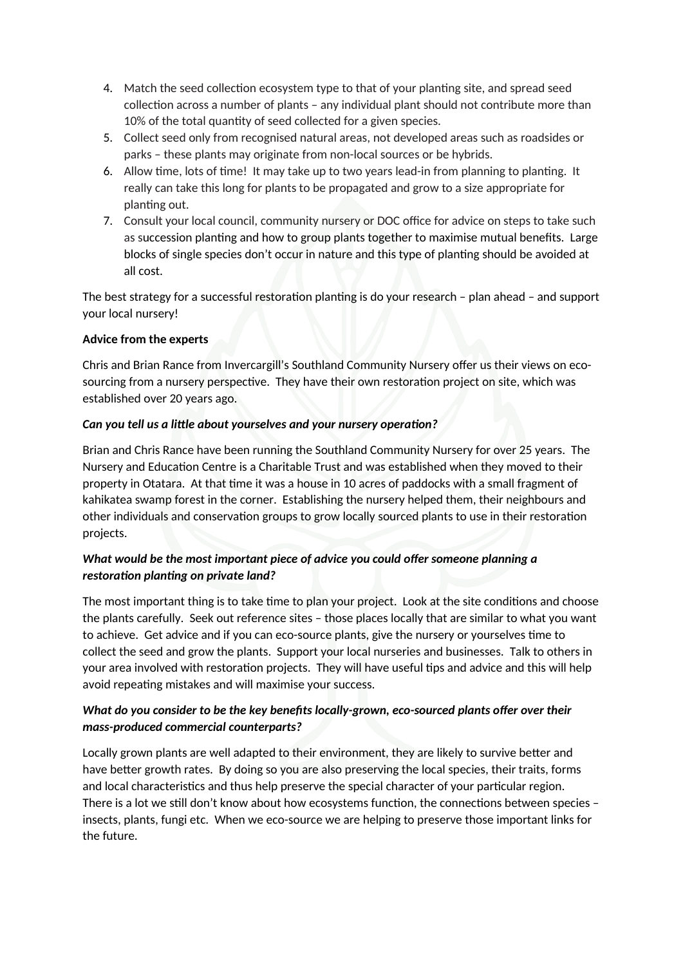- 4. Match the seed collection ecosystem type to that of your planting site, and spread seed collection across a number of plants - any individual plant should not contribute more than 10% of the total quantity of seed collected for a given species.
- 5. Collect seed only from recognised natural areas, not developed areas such as roadsides or parks – these plants may originate from non-local sources or be hybrids.
- 6. Allow time, lots of time! It may take up to two years lead-in from planning to planting. It really can take this long for plants to be propagated and grow to a size appropriate for planting out.
- 7. Consult your local council, community nursery or DOC office for advice on steps to take such as succession planting and how to group plants together to maximise mutual benefits. Large blocks of single species don't occur in nature and this type of planting should be avoided at all cost.

The best strategy for a successful restoration planting is do your research - plan ahead - and support your local nursery!

### **Advice from the experts**

Chris and Brian Rance from Invercargill's Southland Community Nursery ofer us their views on ecosourcing from a nursery perspective. They have their own restoration project on site, which was established over 20 years ago.

#### Can you tell us a little about yourselves and your nursery operation?

Brian and Chris Rance have been running the Southland Community Nursery for over 25 years. The Nursery and Education Centre is a Charitable Trust and was established when they moved to their property in Otatara. At that tme it was a house in 10 acres of paddocks with a small fragment of kahikatea swamp forest in the corner. Establishing the nursery helped them, their neighbours and other individuals and conservaton groups to grow locally sourced plants to use in their restoraton projects.

## *What would be the most important piece of advice you could ofer someone planning a restoration planting on private land?*

The most important thing is to take time to plan your project. Look at the site conditions and choose the plants carefully. Seek out reference sites – those places locally that are similar to what you want to achieve. Get advice and if you can eco-source plants, give the nursery or yourselves tme to collect the seed and grow the plants. Support your local nurseries and businesses. Talk to others in your area involved with restoration projects. They will have useful tips and advice and this will help avoid repeating mistakes and will maximise your success.

# *What do you consider to be the key benefts locally-grown, eco-sourced plants ofer over their mass-produced commercial counterparts?*

Locally grown plants are well adapted to their environment, they are likely to survive better and have better growth rates. By doing so you are also preserving the local species, their traits, forms and local characteristics and thus help preserve the special character of your particular region. There is a lot we still don't know about how ecosystems function, the connections between species insects, plants, fungi etc. When we eco-source we are helping to preserve those important links for the future.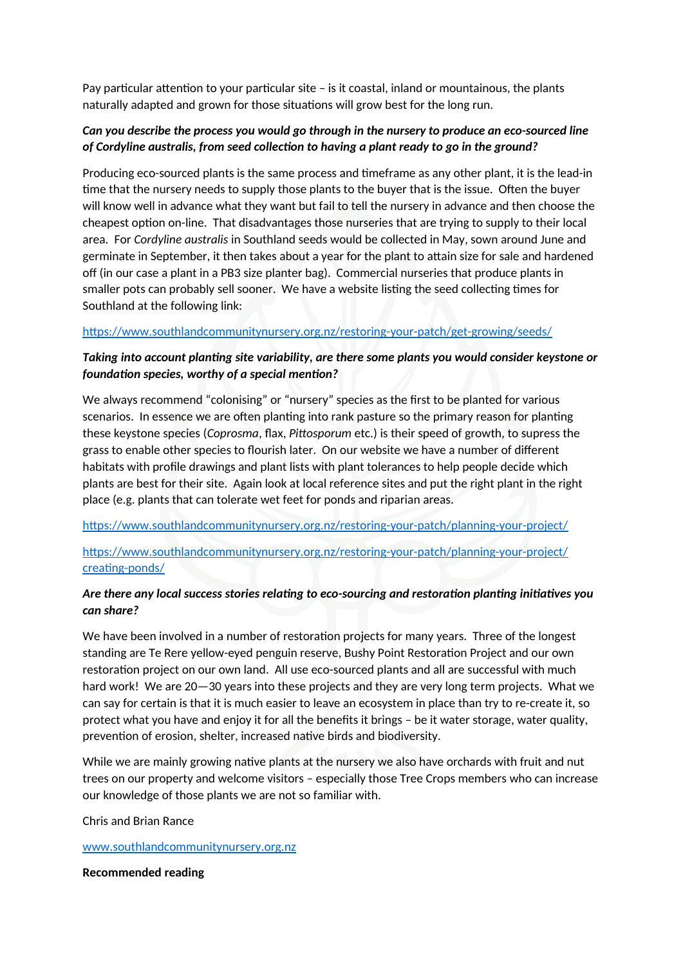Pay particular attention to your particular site  $-$  is it coastal, inland or mountainous, the plants naturally adapted and grown for those situations will grow best for the long run.

## *Can you describe the process you would go through in the nursery to produce an eco-sourced line*  of Cordyline australis, from seed collection to having a plant ready to go in the ground?

Producing eco-sourced plants is the same process and tmeframe as any other plant, it is the lead-in time that the nursery needs to supply those plants to the buyer that is the issue. Often the buyer will know well in advance what they want but fail to tell the nursery in advance and then choose the cheapest option on-line. That disadvantages those nurseries that are trying to supply to their local area. For *Cordyline australis* in Southland seeds would be collected in May, sown around June and germinate in September, it then takes about a year for the plant to atain size for sale and hardened off (in our case a plant in a PB3 size planter bag). Commercial nurseries that produce plants in smaller pots can probably sell sooner. We have a website listing the seed collecting times for Southland at the following link:

#### [htpss://www.southlandcommunitynursery.org.nz/restoring-your-patch/get-growing/seeds/](https://www.southlandcommunitynursery.org.nz/restoring-your-patch/get-growing/seeds/)

## *Taking into account plantng site variability, are there some plants you would consider keystone or* foundation species, worthy of a special mention?

We always recommend "colonising" or "nursery" species as the frst to be planted for various scenarios. In essence we are often planting into rank pasture so the primary reason for planting these keystone species (*Coprosma*, flax, *Pittosporum* etc.) is their speed of growth, to supress the grass to enable other species to lourish later. On our website we have a number of diferent habitats with profle drawings and plant lists with plant tolerances to help people decide which plants are best for their site. Again look at local reference sites and put the right plant in the right place (e.g. plants that can tolerate wet feet for ponds and riparian areas.

[htpss://www.southlandcommunitynursery.org.nz/restoring-your-patch/planning-your-project/](https://www.southlandcommunitynursery.org.nz/restoring-your-patch/planning-your-project/)

[htpss://www.southlandcommunitynursery.org.nz/restoring-your-patch/planning-your-project/](https://www.southlandcommunitynursery.org.nz/restoring-your-patch/planning-your-project/creating-ponds/) creating-ponds/

## *Are there any local success stories relatng to eco-sourcing and restoraton plantng initatves you*  can share?

We have been involved in a number of restoration projects for many years. Three of the longest standing are Te Rere yellow-eyed penguin reserve, Bushy Point Restoration Project and our own restoration project on our own land. All use eco-sourced plants and all are successful with much hard work! We are 20–30 years into these projects and they are very long term projects. What we can say for certain is that it is much easier to leave an ecosystem in place than try to re-create it, so protect what you have and enjoy it for all the benefits it brings - be it water storage, water quality, prevention of erosion, shelter, increased native birds and biodiversity.

While we are mainly growing natve plants at the nursery we also have orchards with fruit and nut trees on our property and welcome visitors – especially those Tree Crops members who can increase our knowledge of those plants we are not so familiar with.

Chris and Brian Rance

[www.southlandcommunitynursery.org.nz](http://www.southlandcommunitynursery.org.nz/)

#### **Recommended ieading**